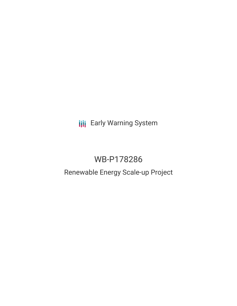**III** Early Warning System

# WB-P178286

# Renewable Energy Scale-up Project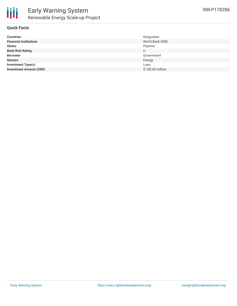

#### **Quick Facts**

| <b>Countries</b>               | Kyrgyzstan       |
|--------------------------------|------------------|
| <b>Financial Institutions</b>  | World Bank (WB)  |
| <b>Status</b>                  | Pipeline         |
| <b>Bank Risk Rating</b>        | U                |
| <b>Borrower</b>                | Government       |
| <b>Sectors</b>                 | Energy           |
| <b>Investment Type(s)</b>      | Loan             |
| <b>Investment Amount (USD)</b> | \$100.00 million |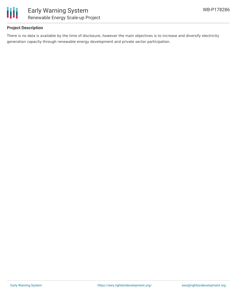

## **Project Description**

There is no data is available by the time of disclosure, however the main objectives is to increase and diversify electricity generation capacity through renewable energy development and private sector participation.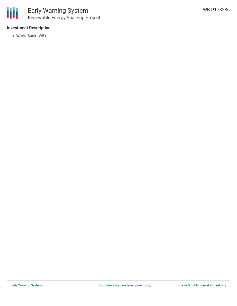

#### **Investment Description**

World Bank (WB)